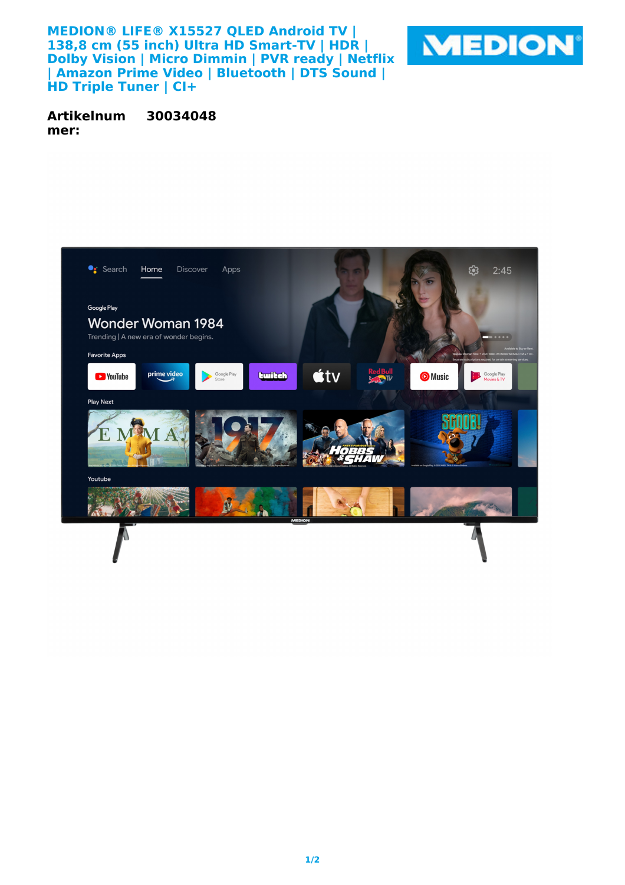**MEDION® LIFE® X15527 QLED Android TV | 138,8 cm (55 inch) Ultra HD Smart-TV | HDR | Dolby Vision | Micro Dimmin | PVR ready | Netflix | Amazon Prime Video | Bluetooth | DTS Sound | HD Triple Tuner | CI+**



**Artikelnum mer: 30034048**